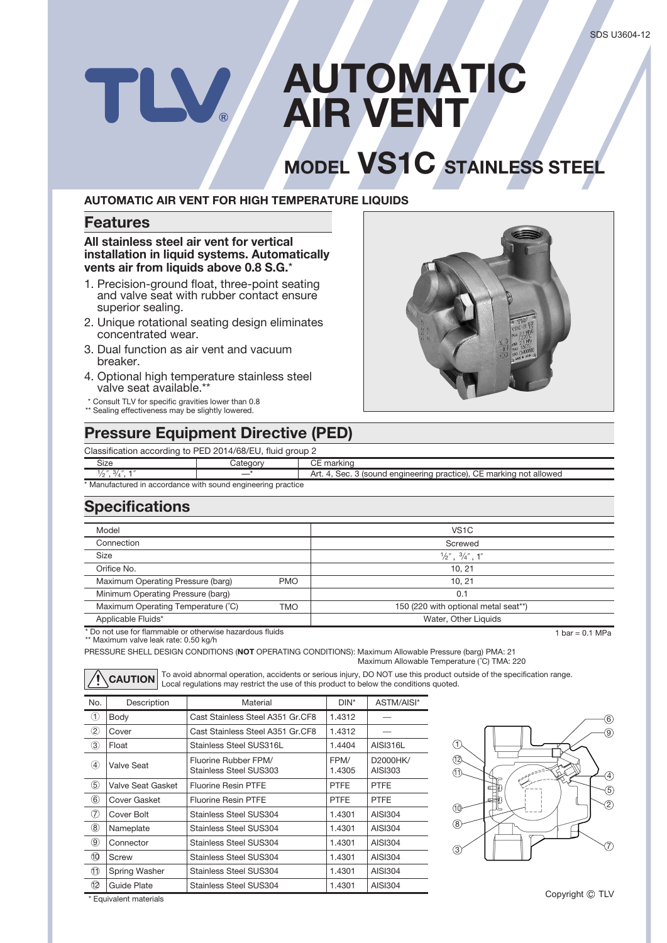# **AUTOMATIC** W. **AIR VENT**

# **MODEL VS1C STAINLESS STEEL**

#### **AUTOMATIC AIR VENT FOR HIGH TEMPERATURE LIQUIDS**

#### **Features**

**All stainless steel air vent for vertical installation in liquid systems. Automatically vents air from liquids above 0.8 S.G.**\*

- 1. Precision-ground float, three-point seating and valve seat with rubber contact ensure superior sealing.
- 2. Unique rotational seating design eliminates concentrated wear.
- 3. Dual function as air vent and vacuum breaker.
- 4. Optional high temperature stainless steel valve seat available.\*\*
- \* Consult TLV for specific gravities lower than 0.8
- \*\* Sealing effectiveness may be slightly lowered.

### **Pressure Equipment Directive (PED)**

Classification according to PED 2014/68/EU, fluid group 2

\* Manufactured in accordance with sound engineering practice Category CE marking Art. 4, Sec. 3 (sound engineering practice), CE marking not allowed Size  $\frac{1}{2}$ ",  $\frac{3}{4}$ ", 1"

## **Specifications**

| Model                                                    |            | VS <sub>1</sub> C                    |                 |  |
|----------------------------------------------------------|------------|--------------------------------------|-----------------|--|
| Connection                                               |            | Screwed                              |                 |  |
| Size                                                     |            | $\frac{1}{2}$ ", $\frac{3}{4}$ ", 1" |                 |  |
| Orifice No.                                              |            | 10, 21                               |                 |  |
| Maximum Operating Pressure (barg)                        | <b>PMO</b> | 10.21                                |                 |  |
| Minimum Operating Pressure (barg)                        |            | 0.1                                  |                 |  |
| Maximum Operating Temperature (°C)                       | TMO        | 150 (220 with optional metal seat**) |                 |  |
| Applicable Fluids*                                       |            | Water, Other Liquids                 |                 |  |
| * Do not use for flammable or otherwise hazardous fluids |            |                                      | 1 bar = 0.1 MPa |  |

\* Do not use for flammable or otherwise hazardous fluids \*\* Maximum valve leak rate: 0.50 kg/h

PRESSURE SHELL DESIGN CONDITIONS (**NOT** OPERATING CONDITIONS): Maximum Allowable Pressure (barg) PMA: 21 Maximum Allowable Temperature (˚C) TMA: 220

**CAUTION** To avoid abnormal operation, accidents or serious injury, DO NOT use this product outside of the specification range. Local regulations may restrict the use of this product to below the conditions quoted.

| No.               | Description       | Material                                       | $DIN^*$        | ASTM/AISI*          |
|-------------------|-------------------|------------------------------------------------|----------------|---------------------|
| O                 | Body              | Cast Stainless Steel A351 Gr.CF8               | 1.4312         |                     |
| $\circled{2}$     | Cover             | Cast Stainless Steel A351 Gr.CF8               | 1.4312         |                     |
| 3                 | Float             | Stainless Steel SUS316L                        | 1.4404         | AISI316L            |
| 4                 | Valve Seat        | Fluorine Rubber FPM/<br>Stainless Steel SUS303 | FPM/<br>1.4305 | D2000HK/<br>AISI303 |
| $\circledS$       | Valve Seat Gasket | <b>Fluorine Resin PTFE</b>                     | <b>PTFE</b>    | <b>PTFE</b>         |
| $\circled6$       | Cover Gasket      | <b>Fluorine Resin PTFE</b>                     | <b>PTFE</b>    | <b>PTFE</b>         |
| (7)               | Cover Bolt        | Stainless Steel SUS304                         | 1.4301         | AISI304             |
| $\left( 8\right)$ | Nameplate         | Stainless Steel SUS304                         | 1.4301         | AISI304             |
| (9)               | Connector         | Stainless Steel SUS304                         | 1.4301         | AISI304             |
| O)                | Screw             | Stainless Steel SUS304                         | 1.4301         | AISI304             |
| D                 | Spring Washer     | Stainless Steel SUS304                         | 1.4301         | <b>AISI304</b>      |
| 12                | Guide Plate       | Stainless Steel SUS304                         | 1.4301         | <b>AISI304</b>      |



\* Equivalent materials